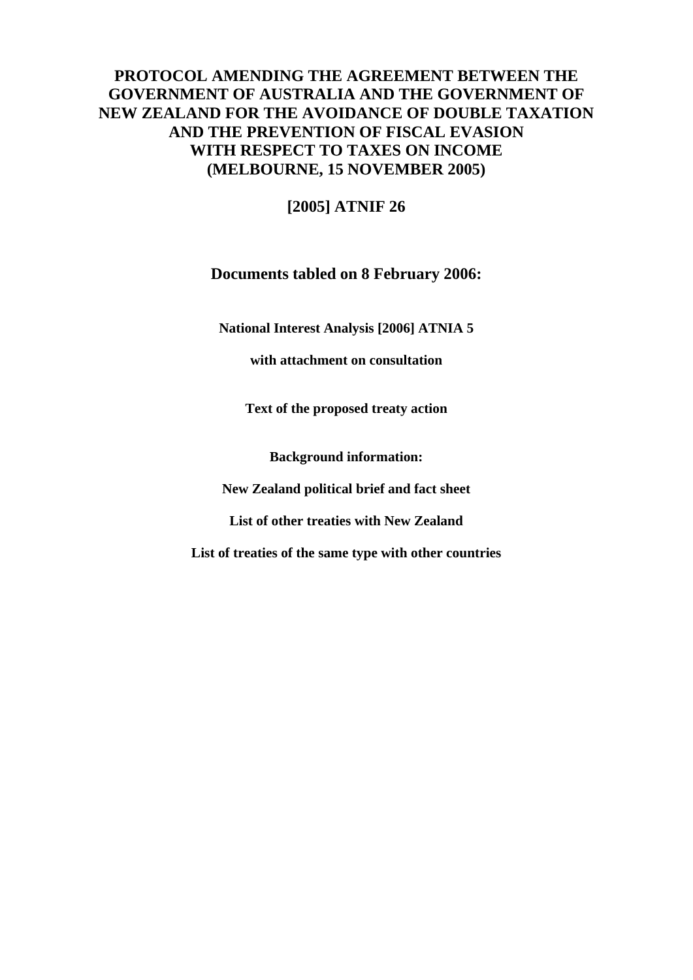# **PROTOCOL AMENDING THE AGREEMENT BETWEEN THE GOVERNMENT OF AUSTRALIA AND THE GOVERNMENT OF NEW ZEALAND FOR THE AVOIDANCE OF DOUBLE TAXATION AND THE PREVENTION OF FISCAL EVASION WITH RESPECT TO TAXES ON INCOME (MELBOURNE, 15 NOVEMBER 2005)**

**[2005] ATNIF 26** 

### **Documents tabled on 8 February 2006:**

**National Interest Analysis [2006] ATNIA 5** 

**with attachment on consultation** 

**Text of the proposed treaty action** 

**Background information:** 

**New Zealand political brief and fact sheet** 

**List of other treaties with New Zealand** 

**List of treaties of the same type with other countries**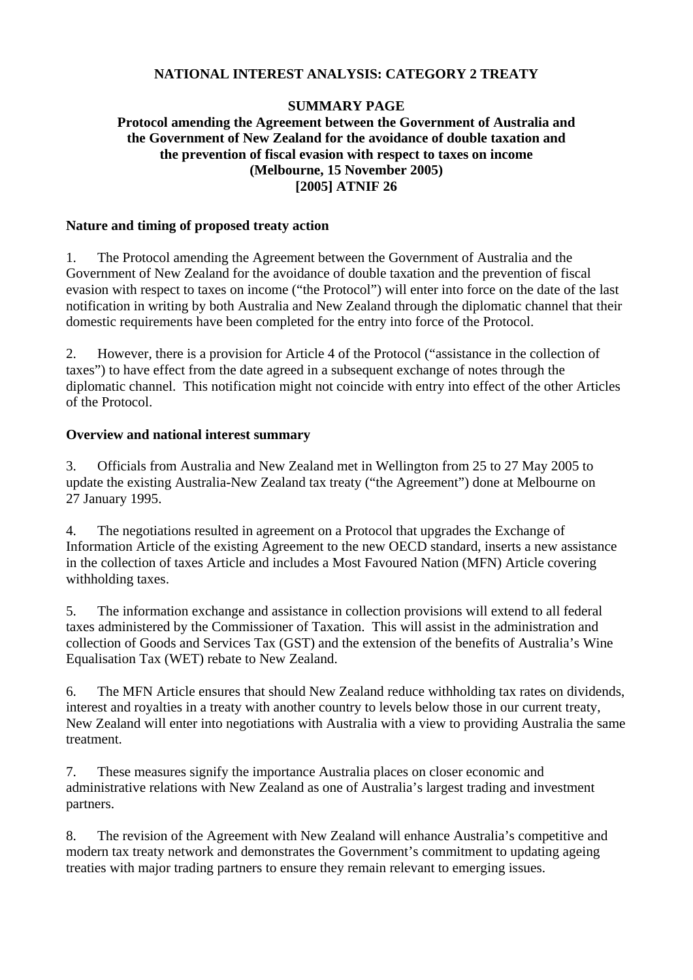#### **NATIONAL INTEREST ANALYSIS: CATEGORY 2 TREATY**

#### **SUMMARY PAGE**

#### **Protocol amending the Agreement between the Government of Australia and the Government of New Zealand for the avoidance of double taxation and the prevention of fiscal evasion with respect to taxes on income (Melbourne, 15 November 2005) [2005] ATNIF 26**

#### **Nature and timing of proposed treaty action**

1. The Protocol amending the Agreement between the Government of Australia and the Government of New Zealand for the avoidance of double taxation and the prevention of fiscal evasion with respect to taxes on income ("the Protocol") will enter into force on the date of the last notification in writing by both Australia and New Zealand through the diplomatic channel that their domestic requirements have been completed for the entry into force of the Protocol.

2. However, there is a provision for Article 4 of the Protocol ("assistance in the collection of taxes") to have effect from the date agreed in a subsequent exchange of notes through the diplomatic channel. This notification might not coincide with entry into effect of the other Articles of the Protocol.

#### **Overview and national interest summary**

3. Officials from Australia and New Zealand met in Wellington from 25 to 27 May 2005 to update the existing Australia-New Zealand tax treaty ("the Agreement") done at Melbourne on 27 January 1995.

4. The negotiations resulted in agreement on a Protocol that upgrades the Exchange of Information Article of the existing Agreement to the new OECD standard, inserts a new assistance in the collection of taxes Article and includes a Most Favoured Nation (MFN) Article covering withholding taxes.

5. The information exchange and assistance in collection provisions will extend to all federal taxes administered by the Commissioner of Taxation. This will assist in the administration and collection of Goods and Services Tax (GST) and the extension of the benefits of Australia's Wine Equalisation Tax (WET) rebate to New Zealand.

6. The MFN Article ensures that should New Zealand reduce withholding tax rates on dividends, interest and royalties in a treaty with another country to levels below those in our current treaty, New Zealand will enter into negotiations with Australia with a view to providing Australia the same treatment.

7. These measures signify the importance Australia places on closer economic and administrative relations with New Zealand as one of Australia's largest trading and investment partners.

8. The revision of the Agreement with New Zealand will enhance Australia's competitive and modern tax treaty network and demonstrates the Government's commitment to updating ageing treaties with major trading partners to ensure they remain relevant to emerging issues.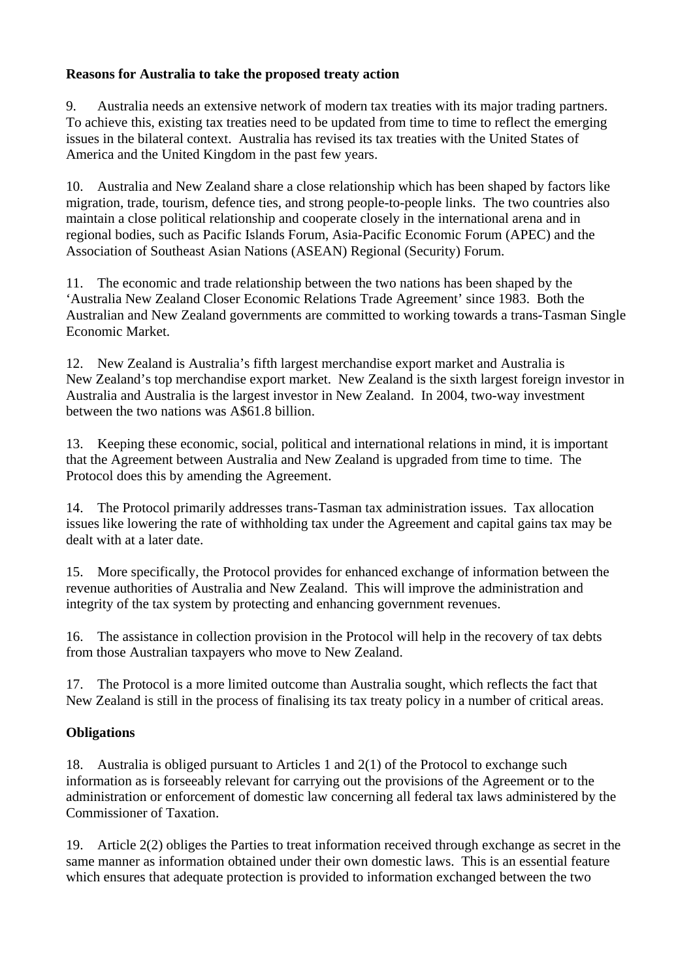#### **Reasons for Australia to take the proposed treaty action**

9. Australia needs an extensive network of modern tax treaties with its major trading partners. To achieve this, existing tax treaties need to be updated from time to time to reflect the emerging issues in the bilateral context. Australia has revised its tax treaties with the United States of America and the United Kingdom in the past few years.

10. Australia and New Zealand share a close relationship which has been shaped by factors like migration, trade, tourism, defence ties, and strong people-to-people links. The two countries also maintain a close political relationship and cooperate closely in the international arena and in regional bodies, such as Pacific Islands Forum, Asia-Pacific Economic Forum (APEC) and the Association of Southeast Asian Nations (ASEAN) Regional (Security) Forum.

11. The economic and trade relationship between the two nations has been shaped by the 'Australia New Zealand Closer Economic Relations Trade Agreement' since 1983. Both the Australian and New Zealand governments are committed to working towards a trans-Tasman Single Economic Market.

12. New Zealand is Australia's fifth largest merchandise export market and Australia is New Zealand's top merchandise export market. New Zealand is the sixth largest foreign investor in Australia and Australia is the largest investor in New Zealand. In 2004, two-way investment between the two nations was A\$61.8 billion.

13. Keeping these economic, social, political and international relations in mind, it is important that the Agreement between Australia and New Zealand is upgraded from time to time. The Protocol does this by amending the Agreement.

14. The Protocol primarily addresses trans-Tasman tax administration issues. Tax allocation issues like lowering the rate of withholding tax under the Agreement and capital gains tax may be dealt with at a later date.

15. More specifically, the Protocol provides for enhanced exchange of information between the revenue authorities of Australia and New Zealand. This will improve the administration and integrity of the tax system by protecting and enhancing government revenues.

16. The assistance in collection provision in the Protocol will help in the recovery of tax debts from those Australian taxpayers who move to New Zealand.

17. The Protocol is a more limited outcome than Australia sought, which reflects the fact that New Zealand is still in the process of finalising its tax treaty policy in a number of critical areas.

### **Obligations**

18. Australia is obliged pursuant to Articles 1 and 2(1) of the Protocol to exchange such information as is forseeably relevant for carrying out the provisions of the Agreement or to the administration or enforcement of domestic law concerning all federal tax laws administered by the Commissioner of Taxation.

19. Article 2(2) obliges the Parties to treat information received through exchange as secret in the same manner as information obtained under their own domestic laws. This is an essential feature which ensures that adequate protection is provided to information exchanged between the two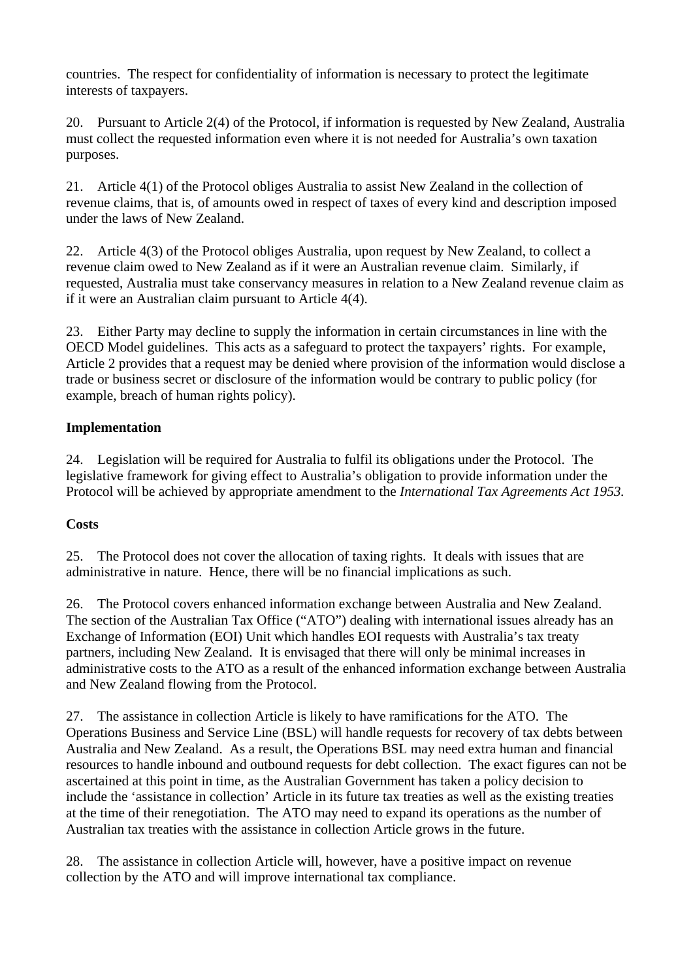countries. The respect for confidentiality of information is necessary to protect the legitimate interests of taxpayers.

20. Pursuant to Article 2(4) of the Protocol, if information is requested by New Zealand, Australia must collect the requested information even where it is not needed for Australia's own taxation purposes.

21. Article 4(1) of the Protocol obliges Australia to assist New Zealand in the collection of revenue claims, that is, of amounts owed in respect of taxes of every kind and description imposed under the laws of New Zealand.

22. Article 4(3) of the Protocol obliges Australia, upon request by New Zealand, to collect a revenue claim owed to New Zealand as if it were an Australian revenue claim. Similarly, if requested, Australia must take conservancy measures in relation to a New Zealand revenue claim as if it were an Australian claim pursuant to Article 4(4).

23. Either Party may decline to supply the information in certain circumstances in line with the OECD Model guidelines. This acts as a safeguard to protect the taxpayers' rights. For example, Article 2 provides that a request may be denied where provision of the information would disclose a trade or business secret or disclosure of the information would be contrary to public policy (for example, breach of human rights policy).

### **Implementation**

24. Legislation will be required for Australia to fulfil its obligations under the Protocol. The legislative framework for giving effect to Australia's obligation to provide information under the Protocol will be achieved by appropriate amendment to the *International Tax Agreements Act 1953.* 

#### **Costs**

25. The Protocol does not cover the allocation of taxing rights. It deals with issues that are administrative in nature. Hence, there will be no financial implications as such.

26. The Protocol covers enhanced information exchange between Australia and New Zealand. The section of the Australian Tax Office ("ATO") dealing with international issues already has an Exchange of Information (EOI) Unit which handles EOI requests with Australia's tax treaty partners, including New Zealand. It is envisaged that there will only be minimal increases in administrative costs to the ATO as a result of the enhanced information exchange between Australia and New Zealand flowing from the Protocol.

27. The assistance in collection Article is likely to have ramifications for the ATO. The Operations Business and Service Line (BSL) will handle requests for recovery of tax debts between Australia and New Zealand. As a result, the Operations BSL may need extra human and financial resources to handle inbound and outbound requests for debt collection. The exact figures can not be ascertained at this point in time, as the Australian Government has taken a policy decision to include the 'assistance in collection' Article in its future tax treaties as well as the existing treaties at the time of their renegotiation. The ATO may need to expand its operations as the number of Australian tax treaties with the assistance in collection Article grows in the future.

28. The assistance in collection Article will, however, have a positive impact on revenue collection by the ATO and will improve international tax compliance.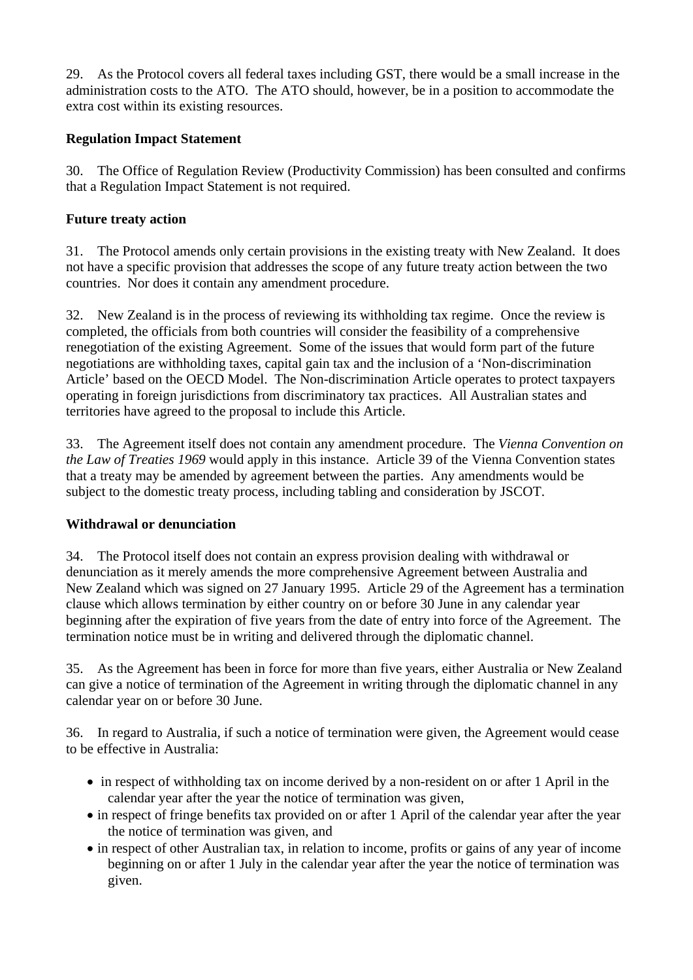29. As the Protocol covers all federal taxes including GST, there would be a small increase in the administration costs to the ATO. The ATO should, however, be in a position to accommodate the extra cost within its existing resources.

#### **Regulation Impact Statement**

30. The Office of Regulation Review (Productivity Commission) has been consulted and confirms that a Regulation Impact Statement is not required.

#### **Future treaty action**

31. The Protocol amends only certain provisions in the existing treaty with New Zealand. It does not have a specific provision that addresses the scope of any future treaty action between the two countries. Nor does it contain any amendment procedure.

32. New Zealand is in the process of reviewing its withholding tax regime. Once the review is completed, the officials from both countries will consider the feasibility of a comprehensive renegotiation of the existing Agreement. Some of the issues that would form part of the future negotiations are withholding taxes, capital gain tax and the inclusion of a 'Non-discrimination Article' based on the OECD Model. The Non-discrimination Article operates to protect taxpayers operating in foreign jurisdictions from discriminatory tax practices. All Australian states and territories have agreed to the proposal to include this Article.

33. The Agreement itself does not contain any amendment procedure. The *Vienna Convention on the Law of Treaties 1969* would apply in this instance. Article 39 of the Vienna Convention states that a treaty may be amended by agreement between the parties. Any amendments would be subject to the domestic treaty process, including tabling and consideration by JSCOT.

### **Withdrawal or denunciation**

34. The Protocol itself does not contain an express provision dealing with withdrawal or denunciation as it merely amends the more comprehensive Agreement between Australia and New Zealand which was signed on 27 January 1995. Article 29 of the Agreement has a termination clause which allows termination by either country on or before 30 June in any calendar year beginning after the expiration of five years from the date of entry into force of the Agreement. The termination notice must be in writing and delivered through the diplomatic channel.

35. As the Agreement has been in force for more than five years, either Australia or New Zealand can give a notice of termination of the Agreement in writing through the diplomatic channel in any calendar year on or before 30 June.

36. In regard to Australia, if such a notice of termination were given, the Agreement would cease to be effective in Australia:

- in respect of withholding tax on income derived by a non-resident on or after 1 April in the calendar year after the year the notice of termination was given,
- in respect of fringe benefits tax provided on or after 1 April of the calendar year after the year the notice of termination was given, and
- in respect of other Australian tax, in relation to income, profits or gains of any year of income beginning on or after 1 July in the calendar year after the year the notice of termination was given.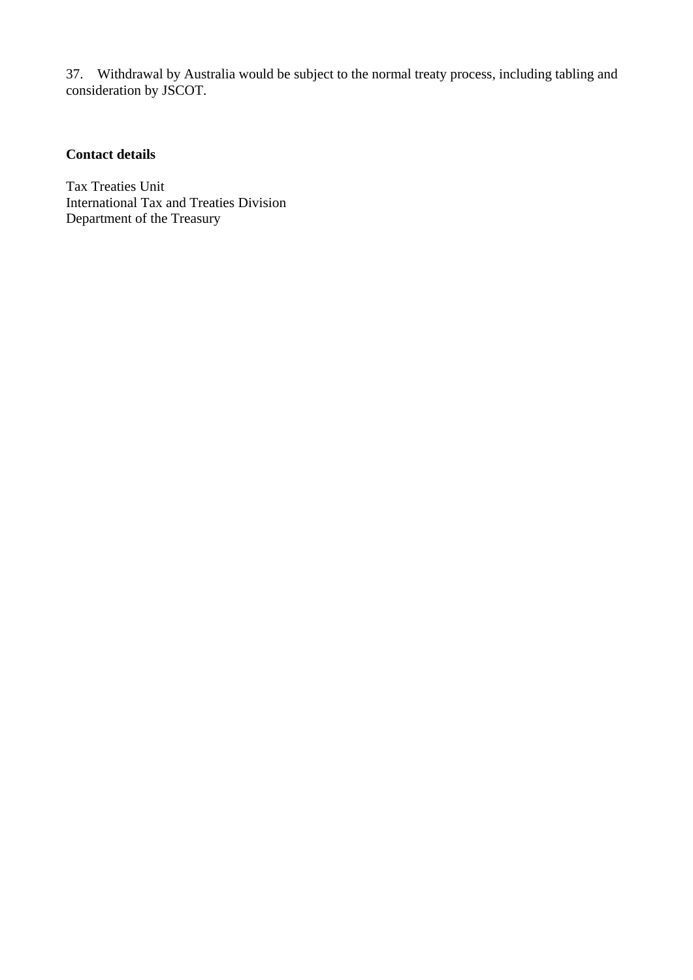37. Withdrawal by Australia would be subject to the normal treaty process, including tabling and consideration by JSCOT.

## **Contact details**

Tax Treaties Unit International Tax and Treaties Division Department of the Treasury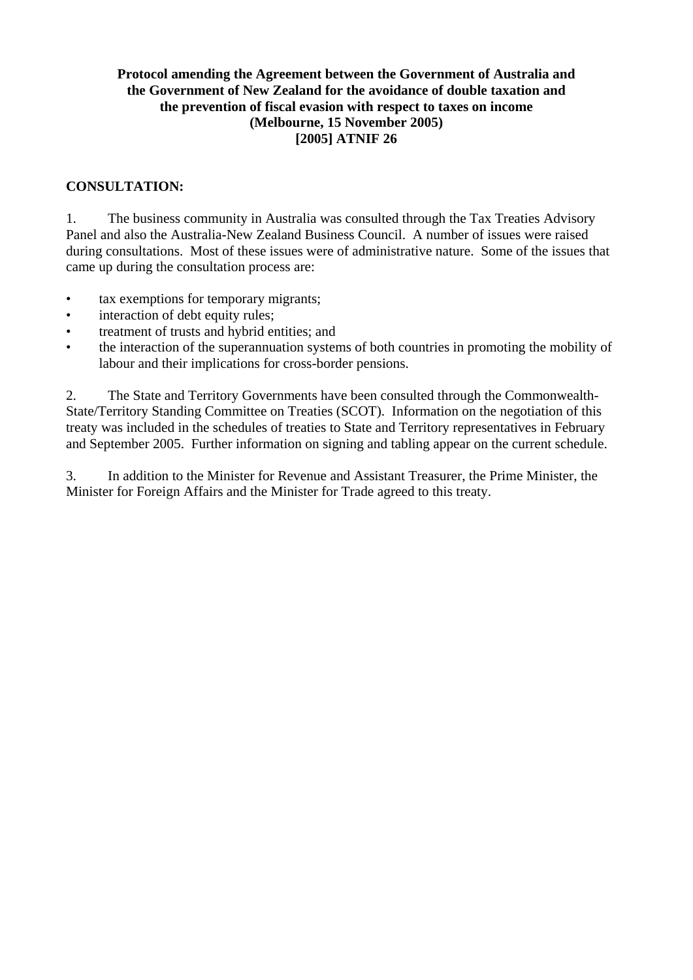#### **Protocol amending the Agreement between the Government of Australia and the Government of New Zealand for the avoidance of double taxation and the prevention of fiscal evasion with respect to taxes on income (Melbourne, 15 November 2005) [2005] ATNIF 26**

#### **CONSULTATION:**

1. The business community in Australia was consulted through the Tax Treaties Advisory Panel and also the Australia-New Zealand Business Council. A number of issues were raised during consultations. Most of these issues were of administrative nature. Some of the issues that came up during the consultation process are:

- tax exemptions for temporary migrants;
- interaction of debt equity rules;
- treatment of trusts and hybrid entities; and
- the interaction of the superannuation systems of both countries in promoting the mobility of labour and their implications for cross-border pensions.

2. The State and Territory Governments have been consulted through the Commonwealth-State/Territory Standing Committee on Treaties (SCOT). Information on the negotiation of this treaty was included in the schedules of treaties to State and Territory representatives in February and September 2005. Further information on signing and tabling appear on the current schedule.

3. In addition to the Minister for Revenue and Assistant Treasurer, the Prime Minister, the Minister for Foreign Affairs and the Minister for Trade agreed to this treaty.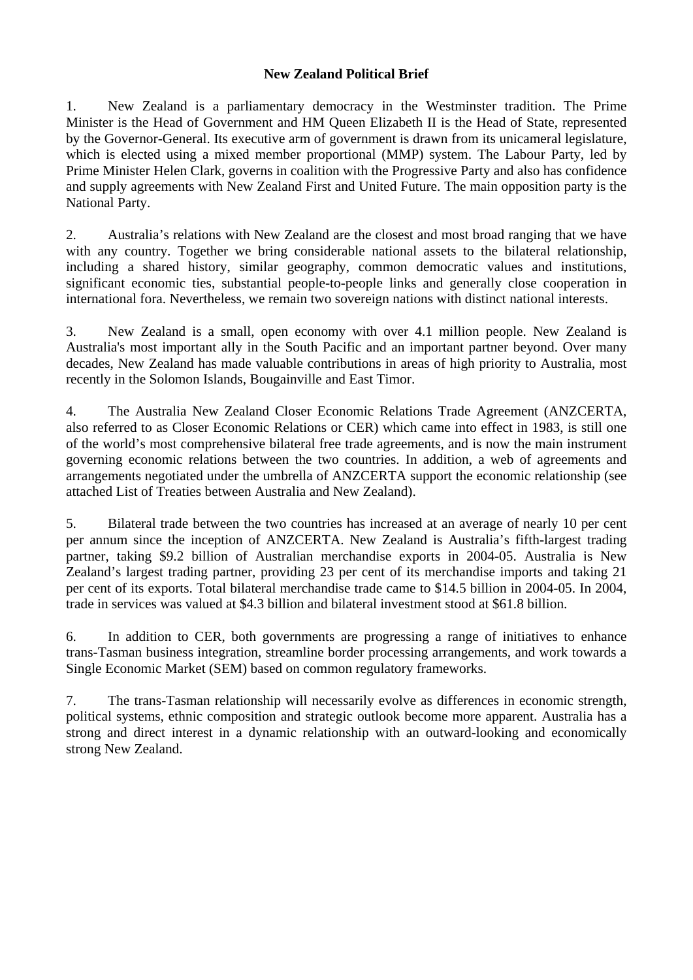#### **New Zealand Political Brief**

1. New Zealand is a parliamentary democracy in the Westminster tradition. The Prime Minister is the Head of Government and HM Queen Elizabeth II is the Head of State, represented by the Governor-General. Its executive arm of government is drawn from its unicameral legislature, which is elected using a mixed member proportional (MMP) system. The Labour Party, led by Prime Minister Helen Clark, governs in coalition with the Progressive Party and also has confidence and supply agreements with New Zealand First and United Future. The main opposition party is the National Party.

2. Australia's relations with New Zealand are the closest and most broad ranging that we have with any country. Together we bring considerable national assets to the bilateral relationship, including a shared history, similar geography, common democratic values and institutions, significant economic ties, substantial people-to-people links and generally close cooperation in international fora. Nevertheless, we remain two sovereign nations with distinct national interests.

3. New Zealand is a small, open economy with over 4.1 million people. New Zealand is Australia's most important ally in the South Pacific and an important partner beyond. Over many decades, New Zealand has made valuable contributions in areas of high priority to Australia, most recently in the Solomon Islands, Bougainville and East Timor.

4. The Australia New Zealand Closer Economic Relations Trade Agreement (ANZCERTA, also referred to as Closer Economic Relations or CER) which came into effect in 1983, is still one of the world's most comprehensive bilateral free trade agreements, and is now the main instrument governing economic relations between the two countries. In addition, a web of agreements and arrangements negotiated under the umbrella of ANZCERTA support the economic relationship (see attached List of Treaties between Australia and New Zealand).

5. Bilateral trade between the two countries has increased at an average of nearly 10 per cent per annum since the inception of ANZCERTA. New Zealand is Australia's fifth-largest trading partner, taking \$9.2 billion of Australian merchandise exports in 2004-05. Australia is New Zealand's largest trading partner, providing 23 per cent of its merchandise imports and taking 21 per cent of its exports. Total bilateral merchandise trade came to \$14.5 billion in 2004-05. In 2004, trade in services was valued at \$4.3 billion and bilateral investment stood at \$61.8 billion.

6. In addition to CER, both governments are progressing a range of initiatives to enhance trans-Tasman business integration, streamline border processing arrangements, and work towards a Single Economic Market (SEM) based on common regulatory frameworks.

7. The trans-Tasman relationship will necessarily evolve as differences in economic strength, political systems, ethnic composition and strategic outlook become more apparent. Australia has a strong and direct interest in a dynamic relationship with an outward-looking and economically strong New Zealand.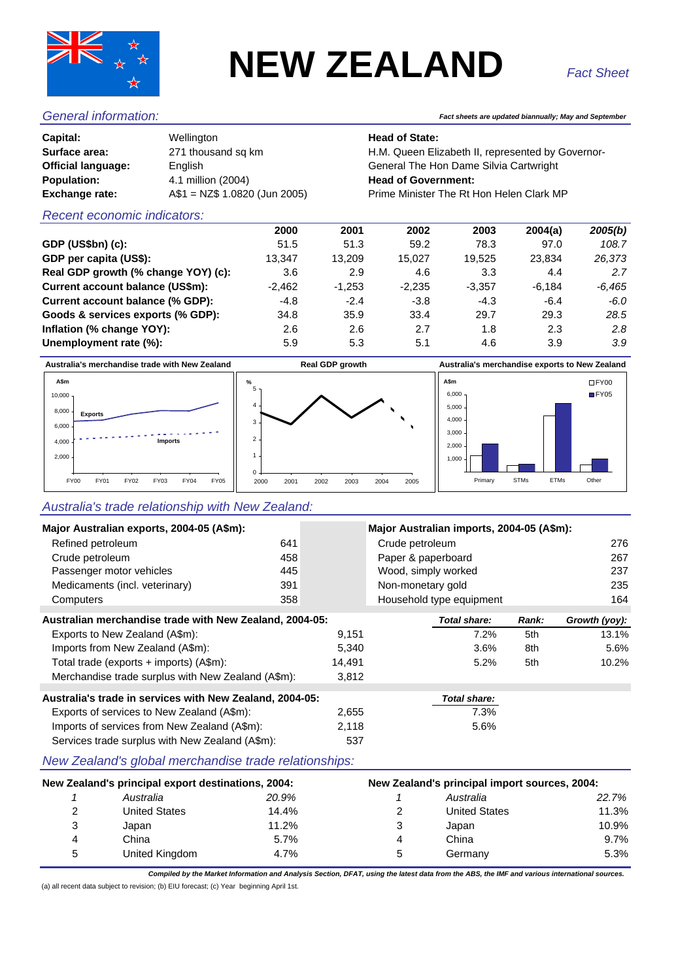

# **NEW ZEALAND**

| Capital:                  | Wellington                    |
|---------------------------|-------------------------------|
| Surface area:             | 271 thousand sq km            |
| <b>Official language:</b> | English                       |
| <b>Population:</b>        | 4.1 million (2004)            |
| <b>Exchange rate:</b>     | A\$1 = NZ\$ 1.0820 (Jun 2005) |
|                           |                               |

#### *General information: Fact sheets are updated biannually; May and September*

#### **Head of State:**

H.M. Queen Elizabeth II, represented by Governor-**General The Hon Dame Silvia Cartwright Head of Government: Prime Minister The Rt Hon Helen Clark MP** 

#### *Recent economic indicators:*

|                                     | 2000     | 2001     | 2002     | 2003     | 2004(a)  | 2005(b)  |
|-------------------------------------|----------|----------|----------|----------|----------|----------|
| GDP (US\$bn) (c):                   | 51.5     | 51.3     | 59.2     | 78.3     | 97.0     | 108.7    |
| GDP per capita (US\$):              | 13.347   | 13.209   | 15.027   | 19.525   | 23.834   | 26,373   |
| Real GDP growth (% change YOY) (c): | 3.6      | 2.9      | 4.6      | 3.3      | 4.4      | 2.7      |
| Current account balance (US\$m):    | $-2,462$ | $-1.253$ | $-2,235$ | $-3.357$ | $-6.184$ | $-6.465$ |
| Current account balance (% GDP):    | $-4.8$   | $-2.4$   | $-3.8$   | $-4.3$   | $-6.4$   | $-6.0$   |
| Goods & services exports (% GDP):   | 34.8     | 35.9     | 33.4     | 29.7     | 29.3     | 28.5     |
| Inflation (% change YOY):           | 2.6      | 2.6      | 2.7      | 1.8      | 2.3      | 2.8      |
| Unemployment rate (%):              | 5.9      | 5.3      | 5.1      | 4.6      | 3.9      | 3.9      |
|                                     |          |          |          |          |          |          |



#### *Australia's trade relationship with New Zealand:*

| Major Australian exports, 2004-05 (A\$m):               |                                                          |       | Major Australian imports, 2004-05 (A\$m): |                                               |                      |       |               |  |
|---------------------------------------------------------|----------------------------------------------------------|-------|-------------------------------------------|-----------------------------------------------|----------------------|-------|---------------|--|
| Refined petroleum                                       |                                                          | 641   | Crude petroleum                           |                                               |                      |       | 276           |  |
| Crude petroleum                                         |                                                          | 458   |                                           | Paper & paperboard                            |                      |       | 267           |  |
|                                                         | Passenger motor vehicles                                 | 445   |                                           | Wood, simply worked                           |                      |       | 237           |  |
|                                                         | Medicaments (incl. veterinary)                           | 391   |                                           | Non-monetary gold                             |                      |       | 235           |  |
| Computers                                               |                                                          | 358   |                                           | Household type equipment                      |                      |       | 164           |  |
| Australian merchandise trade with New Zealand, 2004-05: |                                                          |       |                                           |                                               | Total share:         | Rank: | Growth (yoy): |  |
|                                                         | Exports to New Zealand (A\$m):                           |       | 9,151                                     |                                               | 7.2%                 | 5th   | 13.1%         |  |
|                                                         | Imports from New Zealand (A\$m):                         |       | 5,340                                     |                                               | 3.6%                 | 8th   | 5.6%          |  |
|                                                         | Total trade (exports + imports) (A\$m):                  |       | 14,491                                    |                                               | 5.2%                 | 5th   | 10.2%         |  |
|                                                         | Merchandise trade surplus with New Zealand (A\$m):       |       | 3,812                                     |                                               |                      |       |               |  |
|                                                         | Australia's trade in services with New Zealand, 2004-05: |       |                                           |                                               | <b>Total share:</b>  |       |               |  |
| Exports of services to New Zealand (A\$m):              |                                                          | 2,655 |                                           | 7.3%                                          |                      |       |               |  |
| Imports of services from New Zealand (A\$m):            |                                                          | 2,118 |                                           | 5.6%                                          |                      |       |               |  |
|                                                         | Services trade surplus with New Zealand (A\$m):          |       | 537                                       |                                               |                      |       |               |  |
|                                                         | New Zealand's global merchandise trade relationships:    |       |                                           |                                               |                      |       |               |  |
| New Zealand's principal export destinations, 2004:      |                                                          |       |                                           | New Zealand's principal import sources, 2004: |                      |       |               |  |
| 1                                                       | Australia                                                | 20.9% |                                           | 1                                             | Australia            |       | 22.7%         |  |
| 2                                                       | <b>United States</b>                                     | 14.4% |                                           | 2                                             | <b>United States</b> |       | 11.3%         |  |
| 3                                                       | Japan                                                    | 11.2% |                                           | 3                                             | Japan                |       | 10.9%         |  |
| 4                                                       | China                                                    | 5.7%  |                                           | 4                                             | China                |       | 9.7%          |  |
| 5                                                       | United Kingdom                                           | 4.7%  |                                           | 5                                             | Germany              |       | 5.3%          |  |

*Compiled by the Market Information and Analysis Section, DFAT, using the latest data from the ABS, the IMF and various international sources.*

(a) all recent data subject to revision; (b) EIU forecast; (c) Year beginning April 1st.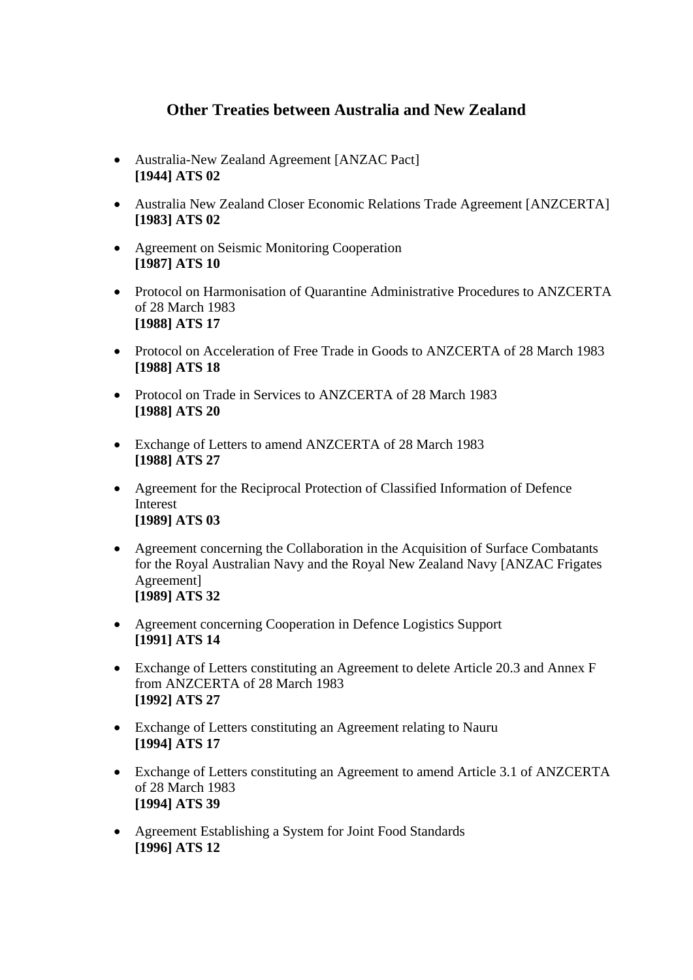# **Other Treaties between Australia and New Zealand**

- Australia-New Zealand Agreement [ANZAC Pact] **[1944] ATS 02**
- Australia New Zealand Closer Economic Relations Trade Agreement [ANZCERTA] **[1983] ATS 02**
- Agreement on Seismic Monitoring Cooperation **[1987] ATS 10**
- Protocol on Harmonisation of Quarantine Administrative Procedures to ANZCERTA of 28 March 1983 **[1988] ATS 17**
- Protocol on Acceleration of Free Trade in Goods to ANZCERTA of 28 March 1983 **[1988] ATS 18**
- Protocol on Trade in Services to ANZCERTA of 28 March 1983 **[1988] ATS 20**
- Exchange of Letters to amend ANZCERTA of 28 March 1983 **[1988] ATS 27**
- Agreement for the Reciprocal Protection of Classified Information of Defence Interest **[1989] ATS 03**
- Agreement concerning the Collaboration in the Acquisition of Surface Combatants for the Royal Australian Navy and the Royal New Zealand Navy [ANZAC Frigates Agreement] **[1989] ATS 32**
- Agreement concerning Cooperation in Defence Logistics Support **[1991] ATS 14**
- Exchange of Letters constituting an Agreement to delete Article 20.3 and Annex F from ANZCERTA of 28 March 1983 **[1992] ATS 27**
- Exchange of Letters constituting an Agreement relating to Nauru **[1994] ATS 17**
- Exchange of Letters constituting an Agreement to amend Article 3.1 of ANZCERTA of 28 March 1983 **[1994] ATS 39**
- Agreement Establishing a System for Joint Food Standards **[1996] ATS 12**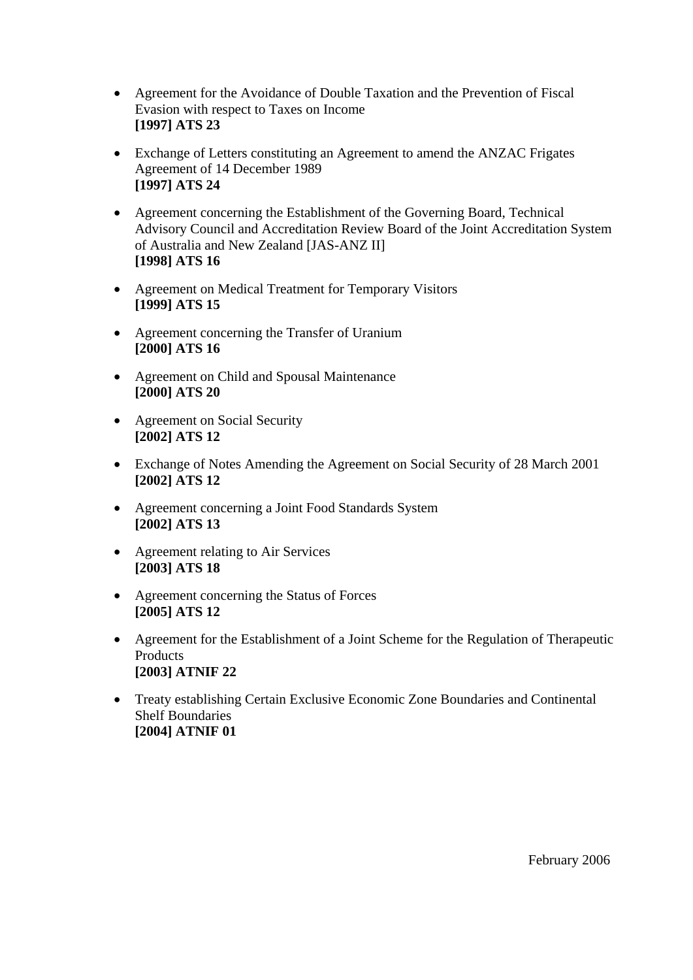- Agreement for the Avoidance of Double Taxation and the Prevention of Fiscal Evasion with respect to Taxes on Income **[1997] ATS 23**
- Exchange of Letters constituting an Agreement to amend the ANZAC Frigates Agreement of 14 December 1989 **[1997] ATS 24**
- Agreement concerning the Establishment of the Governing Board, Technical Advisory Council and Accreditation Review Board of the Joint Accreditation System of Australia and New Zealand [JAS-ANZ II] **[1998] ATS 16**
- Agreement on Medical Treatment for Temporary Visitors **[1999] ATS 15**
- Agreement concerning the Transfer of Uranium **[2000] ATS 16**
- Agreement on Child and Spousal Maintenance **[2000] ATS 20**
- Agreement on Social Security **[2002] ATS 12**
- Exchange of Notes Amending the Agreement on Social Security of 28 March 2001 **[2002] ATS 12**
- Agreement concerning a Joint Food Standards System **[2002] ATS 13**
- Agreement relating to Air Services **[2003] ATS 18**
- Agreement concerning the Status of Forces **[2005] ATS 12**
- Agreement for the Establishment of a Joint Scheme for the Regulation of Therapeutic **Products [2003] ATNIF 22**
- Treaty establishing Certain Exclusive Economic Zone Boundaries and Continental Shelf Boundaries **[2004] ATNIF 01**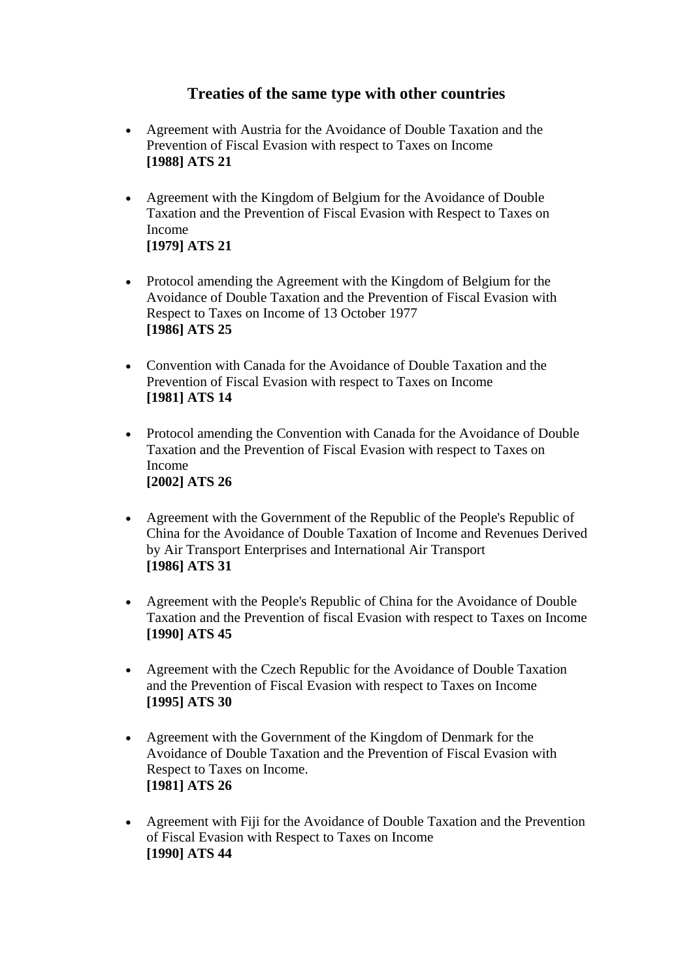# **Treaties of the same type with other countries**

- [Agreement with Austria for the Avoidance of Double Taxation and the](http://www.info.dfat.gov.au/Info/Treaties/treaties.nsf/AllDocIDs/3D51105C3F36557DCA256B74007CC780)  [Prevention of Fiscal Evasion with respect to Taxes on Income](http://www.info.dfat.gov.au/Info/Treaties/treaties.nsf/AllDocIDs/3D51105C3F36557DCA256B74007CC780) **[\[1988\] ATS 21](http://www.info.dfat.gov.au/Info/Treaties/treaties.nsf/AllDocIDs/3D51105C3F36557DCA256B74007CC780)**
- [Agreement with the Kingdom of Belgium for the Avoidance of Double](http://www.info.dfat.gov.au/Info/Treaties/treaties.nsf/AllDocIDs/FFCF3FEB3FA497C4CA256B71008282C3)  [Taxation and the Prevention of Fiscal Evasion with Respect to Taxes on](http://www.info.dfat.gov.au/Info/Treaties/treaties.nsf/AllDocIDs/FFCF3FEB3FA497C4CA256B71008282C3)  [Income](http://www.info.dfat.gov.au/Info/Treaties/treaties.nsf/AllDocIDs/FFCF3FEB3FA497C4CA256B71008282C3)  **[\[1979\] ATS 21](http://www.info.dfat.gov.au/Info/Treaties/treaties.nsf/AllDocIDs/FFCF3FEB3FA497C4CA256B71008282C3)**
- Protocol amending the Agreement with the Kingdom of Belgium for the [Avoidance of Double Taxation and the Prevention of Fiscal Evasion with](http://www.info.dfat.gov.au/Info/Treaties/treaties.nsf/AllDocIDs/17B693A9AA5D1EF0CA256B72000067F3)  [Respect to Taxes on Income of 13 October 1977](http://www.info.dfat.gov.au/Info/Treaties/treaties.nsf/AllDocIDs/17B693A9AA5D1EF0CA256B72000067F3)  **[\[1986\] ATS 25](http://www.info.dfat.gov.au/Info/Treaties/treaties.nsf/AllDocIDs/17B693A9AA5D1EF0CA256B72000067F3)**
- Convention with Canada for the Avoidance of Double Taxation and the [Prevention of Fiscal Evasion with respect to Taxes on Income](http://www.info.dfat.gov.au/Info/Treaties/treaties.nsf/AllDocIDs/76CD7D16E390F755CA256B720007B47D) **[\[1981\] ATS 14](http://www.info.dfat.gov.au/Info/Treaties/treaties.nsf/AllDocIDs/76CD7D16E390F755CA256B720007B47D)**
- Protocol amending the Convention with Canada for the Avoidance of Double [Taxation and the Prevention of Fiscal Evasion with respect to Taxes on](http://www.info.dfat.gov.au/Info/Treaties/treaties.nsf/AllDocIDs/CCF35C9B67BBF917CA256B56001F0B8A)  [Income](http://www.info.dfat.gov.au/Info/Treaties/treaties.nsf/AllDocIDs/CCF35C9B67BBF917CA256B56001F0B8A) **[\[2002\] ATS 26](http://www.info.dfat.gov.au/Info/Treaties/treaties.nsf/AllDocIDs/CCF35C9B67BBF917CA256B56001F0B8A)**
- [Agreement with the Government of the Republic of the People's Republic of](http://www.info.dfat.gov.au/Info/Treaties/treaties.nsf/AllDocIDs/DC2973EE40E61EA9CA256B7400772F13)  [China for the Avoidance of Double Taxation of Income and Revenues Derived](http://www.info.dfat.gov.au/Info/Treaties/treaties.nsf/AllDocIDs/DC2973EE40E61EA9CA256B7400772F13)  [by Air Transport Enterprises and International Air Transport](http://www.info.dfat.gov.au/Info/Treaties/treaties.nsf/AllDocIDs/DC2973EE40E61EA9CA256B7400772F13) **[\[1986\] ATS 31](http://www.info.dfat.gov.au/Info/Treaties/treaties.nsf/AllDocIDs/DC2973EE40E61EA9CA256B7400772F13)**
- [Agreement with the People's Republic of China for the Avoidance of Double](http://www.info.dfat.gov.au/Info/Treaties/treaties.nsf/AllDocIDs/5D5404D1205DD54ACA256B2F000F8FE6)  [Taxation and the Prevention of fiscal Evasion with respect to Taxes on Income](http://www.info.dfat.gov.au/Info/Treaties/treaties.nsf/AllDocIDs/5D5404D1205DD54ACA256B2F000F8FE6) **[\[1990\] ATS 45](http://www.info.dfat.gov.au/Info/Treaties/treaties.nsf/AllDocIDs/5D5404D1205DD54ACA256B2F000F8FE6)**
- [Agreement with the Czech Republic for the Avoidance of Double Taxation](http://www.info.dfat.gov.au/Info/Treaties/treaties.nsf/AllDocIDs/127A633F3F67F6C7CA256B6E0075FC4D)  [and the Prevention of Fiscal Evasion with respect to Taxes on Income](http://www.info.dfat.gov.au/Info/Treaties/treaties.nsf/AllDocIDs/127A633F3F67F6C7CA256B6E0075FC4D) **[\[1995\] ATS 30](http://www.info.dfat.gov.au/Info/Treaties/treaties.nsf/AllDocIDs/127A633F3F67F6C7CA256B6E0075FC4D)**
- [Agreement with the Government of the Kingdom of Denmark for the](http://www.info.dfat.gov.au/Info/Treaties/treaties.nsf/AllDocIDs/1DCD39F4A4213712CA256B7200734DEC)  [Avoidance of Double Taxation and the Prevention of Fiscal Evasion with](http://www.info.dfat.gov.au/Info/Treaties/treaties.nsf/AllDocIDs/1DCD39F4A4213712CA256B7200734DEC)  [Respect to Taxes on Income.](http://www.info.dfat.gov.au/Info/Treaties/treaties.nsf/AllDocIDs/1DCD39F4A4213712CA256B7200734DEC) **[\[1981\] ATS 26](http://www.info.dfat.gov.au/Info/Treaties/treaties.nsf/AllDocIDs/1DCD39F4A4213712CA256B7200734DEC)**
- [Agreement with Fiji for the Avoidance of Double Taxation and the Prevention](http://www.info.dfat.gov.au/Info/Treaties/treaties.nsf/AllDocIDs/4118FAD2D3FD8740CA256B750009A3E2)  [of Fiscal Evasion with Respect to Taxes on Income](http://www.info.dfat.gov.au/Info/Treaties/treaties.nsf/AllDocIDs/4118FAD2D3FD8740CA256B750009A3E2) **[\[1990\] ATS 44](http://www.info.dfat.gov.au/Info/Treaties/treaties.nsf/AllDocIDs/4118FAD2D3FD8740CA256B750009A3E2)**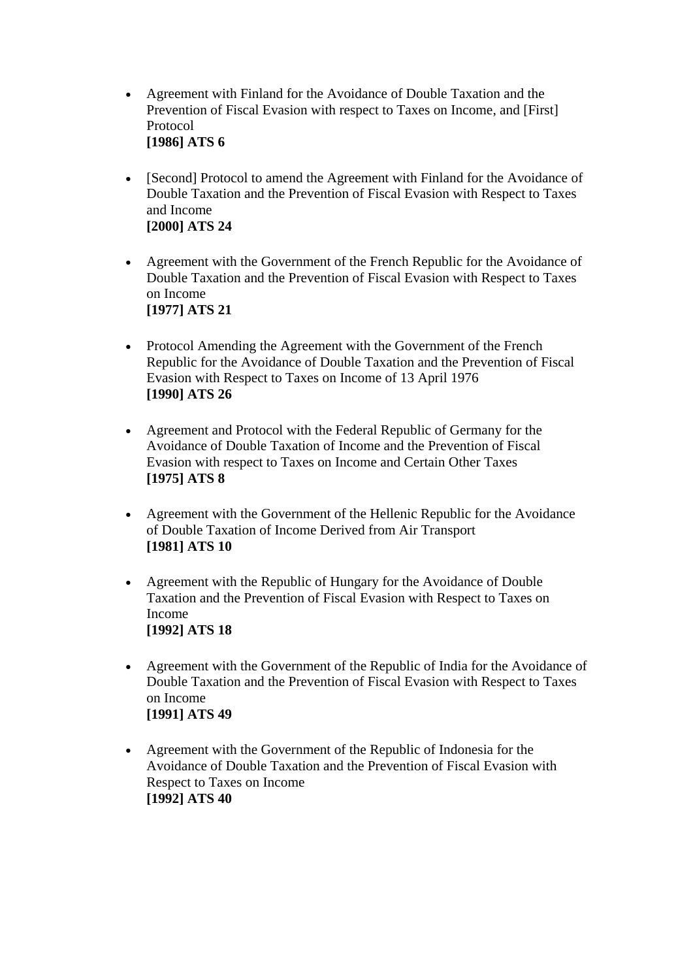- [Agreement with Finland for the Avoidance of Double Taxation and the](http://www.info.dfat.gov.au/Info/Treaties/treaties.nsf/AllDocIDs/0ECD57525F08DE08CA256B740017C6AB)  [Prevention of Fiscal Evasion with respect to Taxes on Income, and \[First\]](http://www.info.dfat.gov.au/Info/Treaties/treaties.nsf/AllDocIDs/0ECD57525F08DE08CA256B740017C6AB)  [Protocol](http://www.info.dfat.gov.au/Info/Treaties/treaties.nsf/AllDocIDs/0ECD57525F08DE08CA256B740017C6AB) **[\[1986\] ATS 6](http://www.info.dfat.gov.au/Info/Treaties/treaties.nsf/AllDocIDs/0ECD57525F08DE08CA256B740017C6AB)**
- [Second] Protocol to amend the Agreement with Finland for the Avoidance of [Double Taxation and the Prevention of Fiscal Evasion with Respect to Taxes](http://www.info.dfat.gov.au/Info/Treaties/treaties.nsf/AllDocIDs/AA596C27C125D1AECA256B27000EA74F)  [and Income](http://www.info.dfat.gov.au/Info/Treaties/treaties.nsf/AllDocIDs/AA596C27C125D1AECA256B27000EA74F) **[\[2000\] ATS 24](http://www.info.dfat.gov.au/Info/Treaties/treaties.nsf/AllDocIDs/AA596C27C125D1AECA256B27000EA74F)**
- Agreement with the Government of the French Republic for the Avoidance of [Double Taxation and the Prevention of Fiscal Evasion with Respect to Taxes](http://www.info.dfat.gov.au/Info/Treaties/treaties.nsf/AllDocIDs/F1A3C3D3AD423D59CA256B71007E455A)  [on Income](http://www.info.dfat.gov.au/Info/Treaties/treaties.nsf/AllDocIDs/F1A3C3D3AD423D59CA256B71007E455A)  **[\[1977\] ATS 21](http://www.info.dfat.gov.au/Info/Treaties/treaties.nsf/AllDocIDs/F1A3C3D3AD423D59CA256B71007E455A)**
- Protocol Amending the Agreement with the Government of the French [Republic for the Avoidance of Double Taxation and the Prevention of Fiscal](http://www.info.dfat.gov.au/Info/Treaties/treaties.nsf/AllDocIDs/3BFD41DFBA6BE75DCA256B7500030BA3)  [Evasion with Respect to Taxes on Income of 13 April 1976](http://www.info.dfat.gov.au/Info/Treaties/treaties.nsf/AllDocIDs/3BFD41DFBA6BE75DCA256B7500030BA3)  **[\[1990\] ATS 26](http://www.info.dfat.gov.au/Info/Treaties/treaties.nsf/AllDocIDs/3BFD41DFBA6BE75DCA256B7500030BA3)**
- [Agreement and Protocol with the Federal Republic of Germany for the](http://www.info.dfat.gov.au/Info/Treaties/treaties.nsf/AllDocIDs/87E07B1D1E16706BCA256B7100768633)  [Avoidance of Double Taxation of Income and the Prevention of Fiscal](http://www.info.dfat.gov.au/Info/Treaties/treaties.nsf/AllDocIDs/87E07B1D1E16706BCA256B7100768633)  [Evasion with respect to Taxes on Income and Certain Other Taxes](http://www.info.dfat.gov.au/Info/Treaties/treaties.nsf/AllDocIDs/87E07B1D1E16706BCA256B7100768633)  **[\[1975\] ATS 8](http://www.info.dfat.gov.au/Info/Treaties/treaties.nsf/AllDocIDs/87E07B1D1E16706BCA256B7100768633)**
- [Agreement with the Government of the Hellenic Republic for the Avoidance](http://www.info.dfat.gov.au/Info/Treaties/treaties.nsf/AllDocIDs/606E71D216CFD229CA256B71007F996B)  [of Double Taxation of Income Derived from Air Transport](http://www.info.dfat.gov.au/Info/Treaties/treaties.nsf/AllDocIDs/606E71D216CFD229CA256B71007F996B) **[\[1981\] ATS 10](http://www.info.dfat.gov.au/Info/Treaties/treaties.nsf/AllDocIDs/606E71D216CFD229CA256B71007F996B)**
- [Agreement with the Republic of Hungary for the Avoidance of Double](http://www.info.dfat.gov.au/Info/Treaties/treaties.nsf/AllDocIDs/CF49EE5E9904AA53CA256B75000B9F75)  [Taxation and the Prevention of Fiscal Evasion with Respect to Taxes on](http://www.info.dfat.gov.au/Info/Treaties/treaties.nsf/AllDocIDs/CF49EE5E9904AA53CA256B75000B9F75)  [Income](http://www.info.dfat.gov.au/Info/Treaties/treaties.nsf/AllDocIDs/CF49EE5E9904AA53CA256B75000B9F75) **[\[1992\] ATS 18](http://www.info.dfat.gov.au/Info/Treaties/treaties.nsf/AllDocIDs/CF49EE5E9904AA53CA256B75000B9F75)**
- [Agreement with the Government of the Republic of India for the Avoidance of](http://www.info.dfat.gov.au/Info/Treaties/treaties.nsf/AllDocIDs/26A5C20220D41399CA256B750075B664)  [Double Taxation and the Prevention of Fiscal Evasion with Respect to Taxes](http://www.info.dfat.gov.au/Info/Treaties/treaties.nsf/AllDocIDs/26A5C20220D41399CA256B750075B664)  [on Income](http://www.info.dfat.gov.au/Info/Treaties/treaties.nsf/AllDocIDs/26A5C20220D41399CA256B750075B664) **[\[1991\] ATS 49](http://www.info.dfat.gov.au/Info/Treaties/treaties.nsf/AllDocIDs/26A5C20220D41399CA256B750075B664)**
- [Agreement with the Government of the Republic of Indonesia for the](http://www.info.dfat.gov.au/Info/Treaties/treaties.nsf/AllDocIDs/0A75A98FE5CCD356CA256B6E000CA52F)  [Avoidance of Double Taxation and the Prevention of Fiscal Evasion with](http://www.info.dfat.gov.au/Info/Treaties/treaties.nsf/AllDocIDs/0A75A98FE5CCD356CA256B6E000CA52F)  [Respect to Taxes on Income](http://www.info.dfat.gov.au/Info/Treaties/treaties.nsf/AllDocIDs/0A75A98FE5CCD356CA256B6E000CA52F)  **[\[1992\] ATS 40](http://www.info.dfat.gov.au/Info/Treaties/treaties.nsf/AllDocIDs/0A75A98FE5CCD356CA256B6E000CA52F)**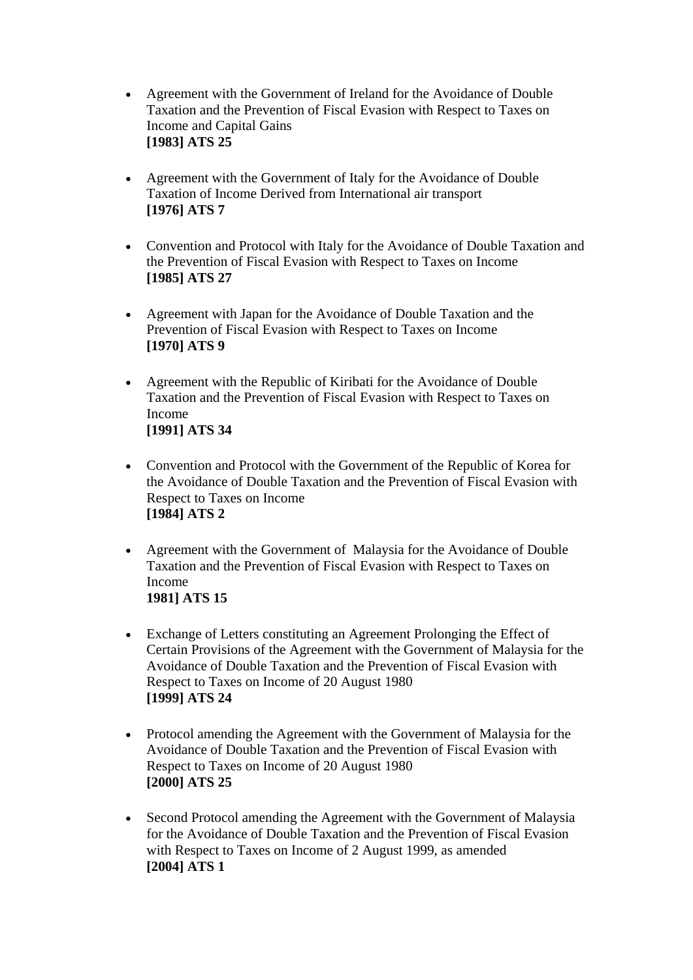- [Agreement with the Government of Ireland for the Avoidance of Double](http://www.info.dfat.gov.au/Info/Treaties/treaties.nsf/AllDocIDs/0773010B967EF503CA256B740012DB3F)  [Taxation and the Prevention of Fiscal Evasion with Respect to Taxes on](http://www.info.dfat.gov.au/Info/Treaties/treaties.nsf/AllDocIDs/0773010B967EF503CA256B740012DB3F)  [Income and Capital Gains](http://www.info.dfat.gov.au/Info/Treaties/treaties.nsf/AllDocIDs/0773010B967EF503CA256B740012DB3F) **[\[1983\] ATS 25](http://www.info.dfat.gov.au/Info/Treaties/treaties.nsf/AllDocIDs/0773010B967EF503CA256B740012DB3F)**
- Agreement with the Government of Italy for the Avoidance of Double [Taxation of Income Derived from International air transport](http://www.info.dfat.gov.au/Info/Treaties/treaties.nsf/AllDocIDs/0B5D9ACC55FD1DABCA256B6F000984E2) **[\[1976\] ATS 7](http://www.info.dfat.gov.au/Info/Treaties/treaties.nsf/AllDocIDs/0B5D9ACC55FD1DABCA256B6F000984E2)**
- [Convention and Protocol with Italy for the Avoidance of Double Taxation and](http://www.info.dfat.gov.au/Info/Treaties/treaties.nsf/AllDocIDs/070C43F8B6C52660CA256B72007DB0BA)  [the Prevention of Fiscal Evasion with Respect to Taxes on Income](http://www.info.dfat.gov.au/Info/Treaties/treaties.nsf/AllDocIDs/070C43F8B6C52660CA256B72007DB0BA) **[\[1985\] ATS 27](http://www.info.dfat.gov.au/Info/Treaties/treaties.nsf/AllDocIDs/070C43F8B6C52660CA256B72007DB0BA)**
- [Agreement with Japan for the Avoidance of Double Taxation and the](http://www.info.dfat.gov.au/Info/Treaties/treaties.nsf/AllDocIDs/3698E3E0B9A56AE8CA256B6F00045A6E)  [Prevention of Fiscal Evasion with Respect to Taxes on Income](http://www.info.dfat.gov.au/Info/Treaties/treaties.nsf/AllDocIDs/3698E3E0B9A56AE8CA256B6F00045A6E)  **[\[1970\] ATS 9](http://www.info.dfat.gov.au/Info/Treaties/treaties.nsf/AllDocIDs/3698E3E0B9A56AE8CA256B6F00045A6E)**
- [Agreement with the Republic of Kiribati for the Avoidance of Double](http://www.info.dfat.gov.au/Info/Treaties/treaties.nsf/AllDocIDs/D6AFEE2390A83827CA256B75000CF7D3)  [Taxation and the Prevention of Fiscal Evasion with Respect to Taxes on](http://www.info.dfat.gov.au/Info/Treaties/treaties.nsf/AllDocIDs/D6AFEE2390A83827CA256B75000CF7D3)  [Income](http://www.info.dfat.gov.au/Info/Treaties/treaties.nsf/AllDocIDs/D6AFEE2390A83827CA256B75000CF7D3) **[\[1991\] ATS 34](http://www.info.dfat.gov.au/Info/Treaties/treaties.nsf/AllDocIDs/D6AFEE2390A83827CA256B75000CF7D3)**
- [Convention and Protocol with the Government of the Republic of Korea for](http://www.info.dfat.gov.au/Info/Treaties/treaties.nsf/AllDocIDs/BD2710AB48E6351DCA256B7200793B6E)  [the Avoidance of Double Taxation and the Prevention of Fiscal Evasion with](http://www.info.dfat.gov.au/Info/Treaties/treaties.nsf/AllDocIDs/BD2710AB48E6351DCA256B7200793B6E)  [Respect to Taxes on Income](http://www.info.dfat.gov.au/Info/Treaties/treaties.nsf/AllDocIDs/BD2710AB48E6351DCA256B7200793B6E)  **[\[1984\] ATS 2](http://www.info.dfat.gov.au/Info/Treaties/treaties.nsf/AllDocIDs/BD2710AB48E6351DCA256B7200793B6E)**
- Agreement with the Government of Malaysia for the Avoidance of Double Taxation and the Prevention of Fiscal Evasion with Respect to Taxes on Income **1981] ATS 15**
- [Exchange of Letters constituting an Agreement Prolonging the Effect of](http://www.info.dfat.gov.au/Info/Treaties/treaties.nsf/AllDocIDs/CE46048D6F2011E0CA256B72000BA766)  [Certain Provisions of the Agreement with the Government of Malaysia for the](http://www.info.dfat.gov.au/Info/Treaties/treaties.nsf/AllDocIDs/CE46048D6F2011E0CA256B72000BA766)  [Avoidance of Double Taxation and the Prevention of Fiscal Evasion with](http://www.info.dfat.gov.au/Info/Treaties/treaties.nsf/AllDocIDs/CE46048D6F2011E0CA256B72000BA766)  [Respect to Taxes on Income of 20 August 1980](http://www.info.dfat.gov.au/Info/Treaties/treaties.nsf/AllDocIDs/CE46048D6F2011E0CA256B72000BA766)  **[\[1999\] ATS 24](http://www.info.dfat.gov.au/Info/Treaties/treaties.nsf/AllDocIDs/CE46048D6F2011E0CA256B72000BA766)**
- Protocol amending the Agreement with the Government of Malaysia for the [Avoidance of Double Taxation and the Prevention of Fiscal Evasion with](http://www.info.dfat.gov.au/Info/Treaties/treaties.nsf/AllDocIDs/F627720AC46473F7CA256B2700159A9E)  [Respect to Taxes on Income of 20 August 1980](http://www.info.dfat.gov.au/Info/Treaties/treaties.nsf/AllDocIDs/F627720AC46473F7CA256B2700159A9E)  **[\[2000\] ATS 25](http://www.info.dfat.gov.au/Info/Treaties/treaties.nsf/AllDocIDs/F627720AC46473F7CA256B2700159A9E)**
- Second Protocol amending the Agreement with the Government of Malaysia [for the Avoidance of Double Taxation and the Prevention of Fiscal Evasion](http://www.info.dfat.gov.au/Info/Treaties/treaties.nsf/AllDocIDs/69FD713AD352112DCA256C0E0021F808)  [with Respect to Taxes on Income of 2 August 1999, as amended](http://www.info.dfat.gov.au/Info/Treaties/treaties.nsf/AllDocIDs/69FD713AD352112DCA256C0E0021F808)  **[\[2004\] ATS 1](http://www.info.dfat.gov.au/Info/Treaties/treaties.nsf/AllDocIDs/69FD713AD352112DCA256C0E0021F808)**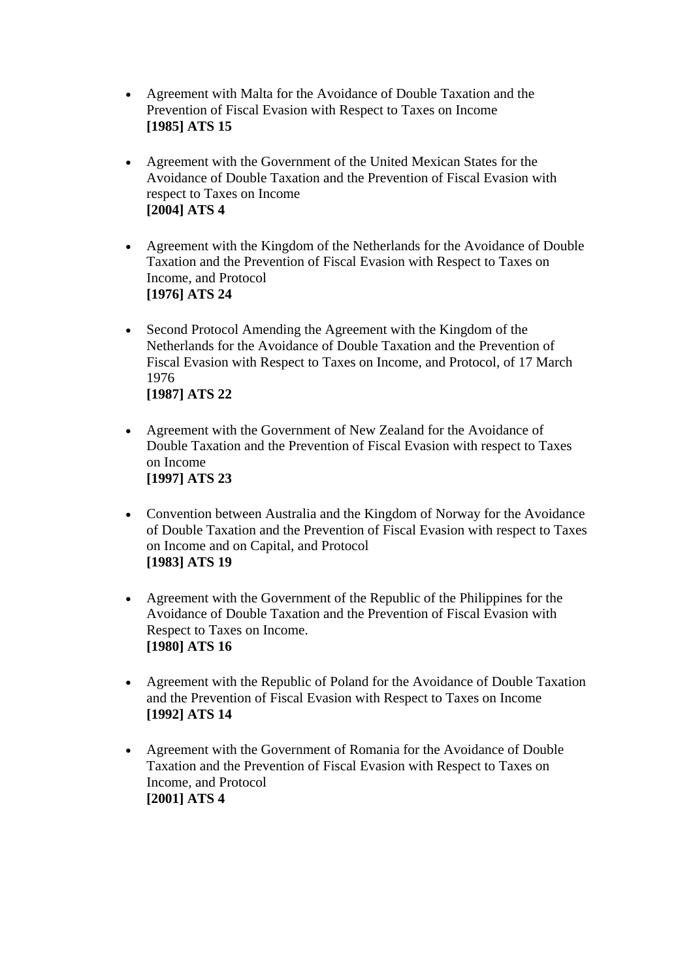- [Agreement with Malta for the Avoidance of Double Taxation and the](http://www.info.dfat.gov.au/Info/Treaties/treaties.nsf/AllDocIDs/E5407378B1692536CA256B740016709D)  [Prevention of Fiscal Evasion with Respect to Taxes on Income](http://www.info.dfat.gov.au/Info/Treaties/treaties.nsf/AllDocIDs/E5407378B1692536CA256B740016709D)  **[\[1985\] ATS 15](http://www.info.dfat.gov.au/Info/Treaties/treaties.nsf/AllDocIDs/E5407378B1692536CA256B740016709D)**
- [Agreement with the Government of the United Mexican States for the](http://www.info.dfat.gov.au/Info/Treaties/treaties.nsf/AllDocIDs/408771B89EDEBCACCA256C300001C977)  [Avoidance of Double Taxation and the Prevention of Fiscal Evasion with](http://www.info.dfat.gov.au/Info/Treaties/treaties.nsf/AllDocIDs/408771B89EDEBCACCA256C300001C977)  [respect to Taxes on Income](http://www.info.dfat.gov.au/Info/Treaties/treaties.nsf/AllDocIDs/408771B89EDEBCACCA256C300001C977) **[\[2004\] ATS 4](http://www.info.dfat.gov.au/Info/Treaties/treaties.nsf/AllDocIDs/408771B89EDEBCACCA256C300001C977)**
- [Agreement with the Kingdom of the Netherlands for the Avoidance of Double](http://www.info.dfat.gov.au/Info/Treaties/treaties.nsf/AllDocIDs/47EB3DE474408590CA256B710079B365)  [Taxation and the Prevention of Fiscal Evasion with Respect to Taxes on](http://www.info.dfat.gov.au/Info/Treaties/treaties.nsf/AllDocIDs/47EB3DE474408590CA256B710079B365)  [Income, and Protocol](http://www.info.dfat.gov.au/Info/Treaties/treaties.nsf/AllDocIDs/47EB3DE474408590CA256B710079B365)  **[\[1976\] ATS 24](http://www.info.dfat.gov.au/Info/Treaties/treaties.nsf/AllDocIDs/47EB3DE474408590CA256B710079B365)**
- Second Protocol Amending the Agreement with the Kingdom of the [Netherlands for the Avoidance of Double Taxation and the Prevention of](http://www.info.dfat.gov.au/Info/Treaties/treaties.nsf/AllDocIDs/8046D551E14A8F45CA256B71007B858F)  [Fiscal Evasion with Respect to Taxes on Income, and Protocol, of 17 March](http://www.info.dfat.gov.au/Info/Treaties/treaties.nsf/AllDocIDs/8046D551E14A8F45CA256B71007B858F)  [1976](http://www.info.dfat.gov.au/Info/Treaties/treaties.nsf/AllDocIDs/8046D551E14A8F45CA256B71007B858F) **[\[1987\] ATS 22](http://www.info.dfat.gov.au/Info/Treaties/treaties.nsf/AllDocIDs/8046D551E14A8F45CA256B71007B858F)**
- Agreement with the Government of New Zealand for the Avoidance of [Double Taxation and the Prevention of Fiscal Evasion with respect to Taxes](http://www.info.dfat.gov.au/Info/Treaties/treaties.nsf/AllDocIDs/CCF95BD77A1F4C8ACA256D1F001EB029)  [on Income](http://www.info.dfat.gov.au/Info/Treaties/treaties.nsf/AllDocIDs/CCF95BD77A1F4C8ACA256D1F001EB029) **[\[1997\] ATS 23](http://www.info.dfat.gov.au/Info/Treaties/treaties.nsf/AllDocIDs/CCF95BD77A1F4C8ACA256D1F001EB029)**
- Convention between Australia and the Kingdom of Norway for the Avoidance [of Double Taxation and the Prevention of Fiscal Evasion with respect to Taxes](http://www.info.dfat.gov.au/Info/Treaties/treaties.nsf/AllDocIDs/DC1998C49FD39CCECA256B72007666A1)  [on Income and on Capital, and Protocol](http://www.info.dfat.gov.au/Info/Treaties/treaties.nsf/AllDocIDs/DC1998C49FD39CCECA256B72007666A1) **[\[1983\] ATS 19](http://www.info.dfat.gov.au/Info/Treaties/treaties.nsf/AllDocIDs/DC1998C49FD39CCECA256B72007666A1)**
- [Agreement with the Government of the Republic of the Philippines for the](http://www.info.dfat.gov.au/Info/Treaties/treaties.nsf/AllDocIDs/E5CC415ADDE331E0CA256B720002A81C)  [Avoidance of Double Taxation and the Prevention of Fiscal Evasion with](http://www.info.dfat.gov.au/Info/Treaties/treaties.nsf/AllDocIDs/E5CC415ADDE331E0CA256B720002A81C)  [Respect to Taxes on Income.](http://www.info.dfat.gov.au/Info/Treaties/treaties.nsf/AllDocIDs/E5CC415ADDE331E0CA256B720002A81C)  **[\[1980\] ATS 16](http://www.info.dfat.gov.au/Info/Treaties/treaties.nsf/AllDocIDs/E5CC415ADDE331E0CA256B720002A81C)**
- [Agreement with the Republic of Poland for the Avoidance of Double Taxation](http://www.info.dfat.gov.au/Info/Treaties/treaties.nsf/AllDocIDs/3E217A99E890A951CA256B75000F3BEB)  [and the Prevention of Fiscal Evasion with Respect to Taxes on Income](http://www.info.dfat.gov.au/Info/Treaties/treaties.nsf/AllDocIDs/3E217A99E890A951CA256B75000F3BEB) **[\[1992\] ATS 14](http://www.info.dfat.gov.au/Info/Treaties/treaties.nsf/AllDocIDs/3E217A99E890A951CA256B75000F3BEB)**
- [Agreement with the Government of Romania for the Avoidance of Double](http://www.info.dfat.gov.au/Info/Treaties/treaties.nsf/AllDocIDs/E1DBCB8CDCAD87ADCA256B0A001A31A9)  [Taxation and the Prevention of Fiscal Evasion with Respect to Taxes on](http://www.info.dfat.gov.au/Info/Treaties/treaties.nsf/AllDocIDs/E1DBCB8CDCAD87ADCA256B0A001A31A9)  [Income, and Protocol](http://www.info.dfat.gov.au/Info/Treaties/treaties.nsf/AllDocIDs/E1DBCB8CDCAD87ADCA256B0A001A31A9) **[\[2001\] ATS 4](http://www.info.dfat.gov.au/Info/Treaties/treaties.nsf/AllDocIDs/E1DBCB8CDCAD87ADCA256B0A001A31A9)**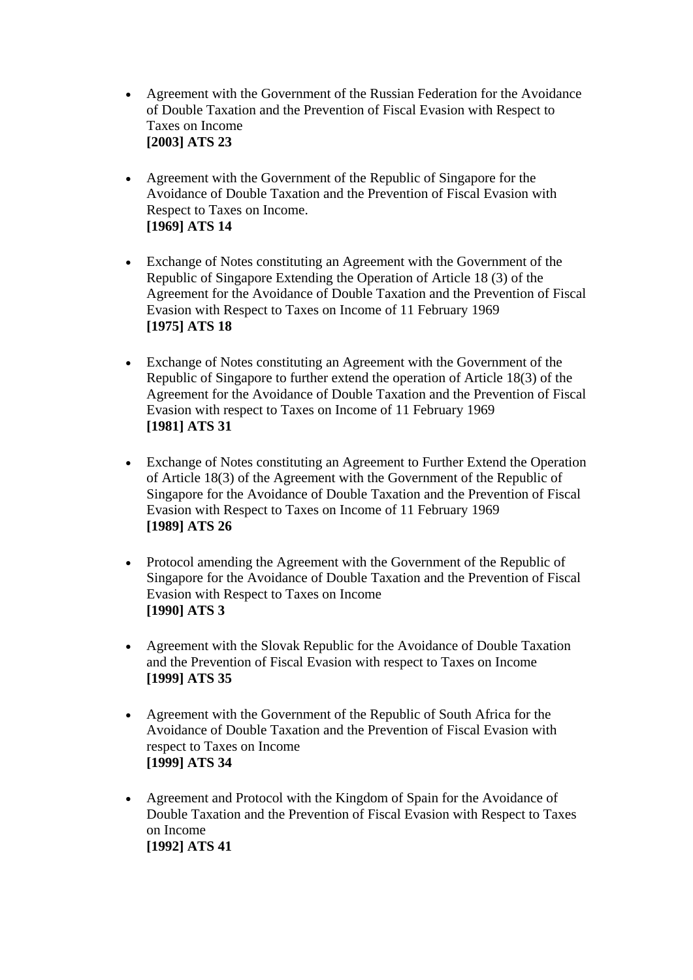- [Agreement with the Government of the Russian Federation for the Avoidance](http://www.info.dfat.gov.au/Info/Treaties/treaties.nsf/AllDocIDs/CC149F85759617B9CA256B2700136A4C)  [of Double Taxation and the Prevention of Fiscal Evasion with Respect to](http://www.info.dfat.gov.au/Info/Treaties/treaties.nsf/AllDocIDs/CC149F85759617B9CA256B2700136A4C)  [Taxes on Income](http://www.info.dfat.gov.au/Info/Treaties/treaties.nsf/AllDocIDs/CC149F85759617B9CA256B2700136A4C)  **[\[2003\] ATS 23](http://www.info.dfat.gov.au/Info/Treaties/treaties.nsf/AllDocIDs/CC149F85759617B9CA256B2700136A4C)**
- [Agreement with the Government of the Republic of Singapore for the](http://www.info.dfat.gov.au/Info/Treaties/treaties.nsf/AllDocIDs/226811A35C930517CA256B6E00031019)  [Avoidance of Double Taxation and the Prevention of Fiscal Evasion with](http://www.info.dfat.gov.au/Info/Treaties/treaties.nsf/AllDocIDs/226811A35C930517CA256B6E00031019)  [Respect to Taxes on Income.](http://www.info.dfat.gov.au/Info/Treaties/treaties.nsf/AllDocIDs/226811A35C930517CA256B6E00031019) **[\[1969\] ATS 14](http://www.info.dfat.gov.au/Info/Treaties/treaties.nsf/AllDocIDs/226811A35C930517CA256B6E00031019)**
- [Exchange of Notes constituting an Agreement with the Government of the](http://www.info.dfat.gov.au/Info/Treaties/treaties.nsf/AllDocIDs/73913B6FEF25F0F6CA256B7100788B64)  [Republic of Singapore Extending the Operation of Article 18 \(3\) of the](http://www.info.dfat.gov.au/Info/Treaties/treaties.nsf/AllDocIDs/73913B6FEF25F0F6CA256B7100788B64)  [Agreement for the Avoidance of Double Taxation and the Prevention of Fiscal](http://www.info.dfat.gov.au/Info/Treaties/treaties.nsf/AllDocIDs/73913B6FEF25F0F6CA256B7100788B64)  [Evasion with Respect to Taxes on Income of 11 February 1969](http://www.info.dfat.gov.au/Info/Treaties/treaties.nsf/AllDocIDs/73913B6FEF25F0F6CA256B7100788B64)  **[\[1975\] ATS 18](http://www.info.dfat.gov.au/Info/Treaties/treaties.nsf/AllDocIDs/73913B6FEF25F0F6CA256B7100788B64)**
- [Exchange of Notes constituting an Agreement with the Government of the](http://www.info.dfat.gov.au/Info/Treaties/treaties.nsf/AllDocIDs/2F1ADA97C779271DCA256D32000E9E5E)  [Republic of Singapore to further extend the operation of Article 18\(3\) of the](http://www.info.dfat.gov.au/Info/Treaties/treaties.nsf/AllDocIDs/2F1ADA97C779271DCA256D32000E9E5E)  [Agreement for the Avoidance of Double Taxation and the Prevention of Fiscal](http://www.info.dfat.gov.au/Info/Treaties/treaties.nsf/AllDocIDs/2F1ADA97C779271DCA256D32000E9E5E)  [Evasion with respect to Taxes on Income of 11 February 1969](http://www.info.dfat.gov.au/Info/Treaties/treaties.nsf/AllDocIDs/2F1ADA97C779271DCA256D32000E9E5E) **[\[1981\] ATS 31](http://www.info.dfat.gov.au/Info/Treaties/treaties.nsf/AllDocIDs/2F1ADA97C779271DCA256D32000E9E5E)**
- [Exchange of Notes constituting an Agreement to Further Extend the Operation](http://www.info.dfat.gov.au/Info/Treaties/treaties.nsf/AllDocIDs/09CB8E2B0B1CF073CA256B6E0008D5F3)  [of Article 18\(3\) of the Agreement with the Government of the Republic of](http://www.info.dfat.gov.au/Info/Treaties/treaties.nsf/AllDocIDs/09CB8E2B0B1CF073CA256B6E0008D5F3)  [Singapore for the Avoidance of Double Taxation and the Prevention of Fiscal](http://www.info.dfat.gov.au/Info/Treaties/treaties.nsf/AllDocIDs/09CB8E2B0B1CF073CA256B6E0008D5F3)  [Evasion with Respect to Taxes on Income of 11 February 1969](http://www.info.dfat.gov.au/Info/Treaties/treaties.nsf/AllDocIDs/09CB8E2B0B1CF073CA256B6E0008D5F3)  **[\[1989\] ATS 26](http://www.info.dfat.gov.au/Info/Treaties/treaties.nsf/AllDocIDs/09CB8E2B0B1CF073CA256B6E0008D5F3)**
- Protocol amending the Agreement with the Government of the Republic of [Singapore for the Avoidance of Double Taxation and the Prevention of Fiscal](http://www.info.dfat.gov.au/Info/Treaties/treaties.nsf/AllDocIDs/F8A90CF5EE5537AACA256B6D0083A688)  [Evasion with Respect to Taxes on Income](http://www.info.dfat.gov.au/Info/Treaties/treaties.nsf/AllDocIDs/F8A90CF5EE5537AACA256B6D0083A688)  **[\[1990\] ATS 3](http://www.info.dfat.gov.au/Info/Treaties/treaties.nsf/AllDocIDs/F8A90CF5EE5537AACA256B6D0083A688)**
- [Agreement with the Slovak Republic for the Avoidance of Double Taxation](http://www.info.dfat.gov.au/Info/Treaties/treaties.nsf/AllDocIDs/C1CB2662AF6AEB42CA256B6E007D4469)  [and the Prevention of Fiscal Evasion with respect to Taxes on Income](http://www.info.dfat.gov.au/Info/Treaties/treaties.nsf/AllDocIDs/C1CB2662AF6AEB42CA256B6E007D4469) **[\[1999\] ATS 35](http://www.info.dfat.gov.au/Info/Treaties/treaties.nsf/AllDocIDs/C1CB2662AF6AEB42CA256B6E007D4469)**
- [Agreement with the Government of the Republic of South Africa for the](http://www.info.dfat.gov.au/Info/Treaties/treaties.nsf/AllDocIDs/4947479981364D0FCA256B27001148A7)  [Avoidance of Double Taxation and the Prevention of Fiscal Evasion with](http://www.info.dfat.gov.au/Info/Treaties/treaties.nsf/AllDocIDs/4947479981364D0FCA256B27001148A7)  [respect to Taxes on Income](http://www.info.dfat.gov.au/Info/Treaties/treaties.nsf/AllDocIDs/4947479981364D0FCA256B27001148A7)  **[\[1999\] ATS 34](http://www.info.dfat.gov.au/Info/Treaties/treaties.nsf/AllDocIDs/4947479981364D0FCA256B27001148A7)**
- [Agreement and Protocol with the Kingdom of Spain for the Avoidance of](http://www.info.dfat.gov.au/Info/Treaties/treaties.nsf/AllDocIDs/29CD4C1565652C2DCA256B7500796148)  [Double Taxation and the Prevention of Fiscal Evasion with Respect to Taxes](http://www.info.dfat.gov.au/Info/Treaties/treaties.nsf/AllDocIDs/29CD4C1565652C2DCA256B7500796148)  [on Income](http://www.info.dfat.gov.au/Info/Treaties/treaties.nsf/AllDocIDs/29CD4C1565652C2DCA256B7500796148) **[\[1992\] ATS 41](http://www.info.dfat.gov.au/Info/Treaties/treaties.nsf/AllDocIDs/29CD4C1565652C2DCA256B7500796148)**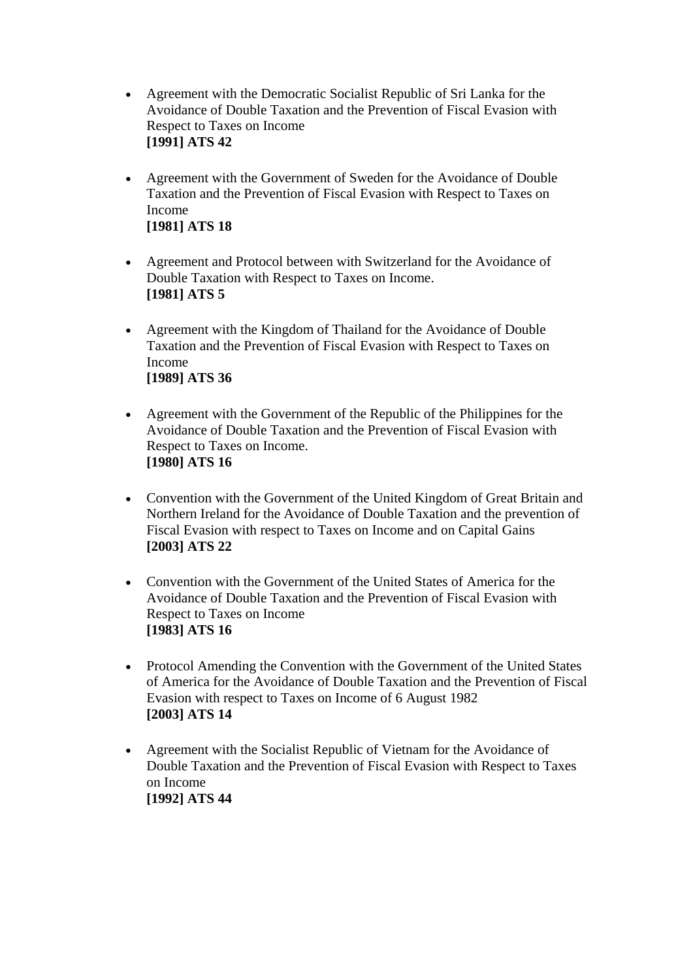- [Agreement with the Democratic Socialist Republic of Sri Lanka for the](http://www.info.dfat.gov.au/Info/Treaties/treaties.nsf/AllDocIDs/826A3E54DE8AA0ACCA256B7500081F16)  [Avoidance of Double Taxation and the Prevention of Fiscal Evasion with](http://www.info.dfat.gov.au/Info/Treaties/treaties.nsf/AllDocIDs/826A3E54DE8AA0ACCA256B7500081F16)  [Respect to Taxes on Income](http://www.info.dfat.gov.au/Info/Treaties/treaties.nsf/AllDocIDs/826A3E54DE8AA0ACCA256B7500081F16) **[\[1991\] ATS 42](http://www.info.dfat.gov.au/Info/Treaties/treaties.nsf/AllDocIDs/826A3E54DE8AA0ACCA256B7500081F16)**
- [Agreement with the Government of Sweden for the Avoidance of Double](http://www.info.dfat.gov.au/Info/Treaties/treaties.nsf/AllDocIDs/3AD44D6BD5BFE947CA256BA3007C86F9)  [Taxation and the Prevention of Fiscal Evasion with Respect to Taxes on](http://www.info.dfat.gov.au/Info/Treaties/treaties.nsf/AllDocIDs/3AD44D6BD5BFE947CA256BA3007C86F9)  [Income](http://www.info.dfat.gov.au/Info/Treaties/treaties.nsf/AllDocIDs/3AD44D6BD5BFE947CA256BA3007C86F9)  **[\[1981\] ATS 18](http://www.info.dfat.gov.au/Info/Treaties/treaties.nsf/AllDocIDs/3AD44D6BD5BFE947CA256BA3007C86F9)**
- [Agreement and Protocol between with Switzerland for the Avoidance of](http://www.info.dfat.gov.au/Info/Treaties/treaties.nsf/AllDocIDs/1962BDDD4F12BBAFCA256B7200066EF0)  [Double Taxation with Respect to Taxes on Income.](http://www.info.dfat.gov.au/Info/Treaties/treaties.nsf/AllDocIDs/1962BDDD4F12BBAFCA256B7200066EF0)  **[\[1981\] ATS 5](http://www.info.dfat.gov.au/Info/Treaties/treaties.nsf/AllDocIDs/1962BDDD4F12BBAFCA256B7200066EF0)**
- [Agreement with the Kingdom of Thailand for the Avoidance of Double](http://www.info.dfat.gov.au/Info/Treaties/treaties.nsf/AllDocIDs/EBDD947B9DF7CEF4CA256B75000108AA)  [Taxation and the Prevention of Fiscal Evasion with Respect to Taxes on](http://www.info.dfat.gov.au/Info/Treaties/treaties.nsf/AllDocIDs/EBDD947B9DF7CEF4CA256B75000108AA)  [Income](http://www.info.dfat.gov.au/Info/Treaties/treaties.nsf/AllDocIDs/EBDD947B9DF7CEF4CA256B75000108AA) **[\[1989\] ATS 36](http://www.info.dfat.gov.au/Info/Treaties/treaties.nsf/AllDocIDs/EBDD947B9DF7CEF4CA256B75000108AA)**
- [Agreement with the Government of the Republic of the Philippines for the](http://www.info.dfat.gov.au/Info/Treaties/treaties.nsf/AllDocIDs/E5CC415ADDE331E0CA256B720002A81C)  [Avoidance of Double Taxation and the Prevention of Fiscal Evasion with](http://www.info.dfat.gov.au/Info/Treaties/treaties.nsf/AllDocIDs/E5CC415ADDE331E0CA256B720002A81C)  [Respect to Taxes on Income.](http://www.info.dfat.gov.au/Info/Treaties/treaties.nsf/AllDocIDs/E5CC415ADDE331E0CA256B720002A81C)  **[\[1980\] ATS 16](http://www.info.dfat.gov.au/Info/Treaties/treaties.nsf/AllDocIDs/E5CC415ADDE331E0CA256B720002A81C)**
- [Convention with the Government of the United Kingdom of Great Britain and](http://www.info.dfat.gov.au/Info/Treaties/treaties.nsf/AllDocIDs/90C7B920ECBF73D2CA256D89001AF130)  [Northern Ireland for the Avoidance of Double Taxation and the prevention of](http://www.info.dfat.gov.au/Info/Treaties/treaties.nsf/AllDocIDs/90C7B920ECBF73D2CA256D89001AF130)  [Fiscal Evasion with respect to Taxes on Income and on Capital Gains](http://www.info.dfat.gov.au/Info/Treaties/treaties.nsf/AllDocIDs/90C7B920ECBF73D2CA256D89001AF130)  **[\[2003\] ATS 22](http://www.info.dfat.gov.au/Info/Treaties/treaties.nsf/AllDocIDs/90C7B920ECBF73D2CA256D89001AF130)**
- [Convention with the Government of the United States of America for the](http://www.info.dfat.gov.au/Info/Treaties/treaties.nsf/AllDocIDs/CACCC20D830654A2CA256B72007AD518)  [Avoidance of Double Taxation and the Prevention of Fiscal Evasion with](http://www.info.dfat.gov.au/Info/Treaties/treaties.nsf/AllDocIDs/CACCC20D830654A2CA256B72007AD518)  [Respect to Taxes on Income](http://www.info.dfat.gov.au/Info/Treaties/treaties.nsf/AllDocIDs/CACCC20D830654A2CA256B72007AD518)  **[\[1983\] ATS 16](http://www.info.dfat.gov.au/Info/Treaties/treaties.nsf/AllDocIDs/CACCC20D830654A2CA256B72007AD518)**
- Protocol Amending the Convention with the Government of the United States [of America for the Avoidance of Double Taxation and the Prevention of Fiscal](http://www.info.dfat.gov.au/Info/Treaties/treaties.nsf/AllDocIDs/74D61378E48A41C7CA256B050012BBD5)  [Evasion with respect to Taxes on Income of 6 August 1982](http://www.info.dfat.gov.au/Info/Treaties/treaties.nsf/AllDocIDs/74D61378E48A41C7CA256B050012BBD5) **[\[2003\] ATS 14](http://www.info.dfat.gov.au/Info/Treaties/treaties.nsf/AllDocIDs/74D61378E48A41C7CA256B050012BBD5)**
- Agreement with the Socialist Republic of Vietnam for the Avoidance of [Double Taxation and the Prevention of Fiscal Evasion with Respect to Taxes](http://www.info.dfat.gov.au/Info/Treaties/treaties.nsf/AllDocIDs/F41399FC1B193D93CA256B7500831451)  [on Income](http://www.info.dfat.gov.au/Info/Treaties/treaties.nsf/AllDocIDs/F41399FC1B193D93CA256B7500831451) **[\[1992\] ATS 44](http://www.info.dfat.gov.au/Info/Treaties/treaties.nsf/AllDocIDs/F41399FC1B193D93CA256B7500831451)**